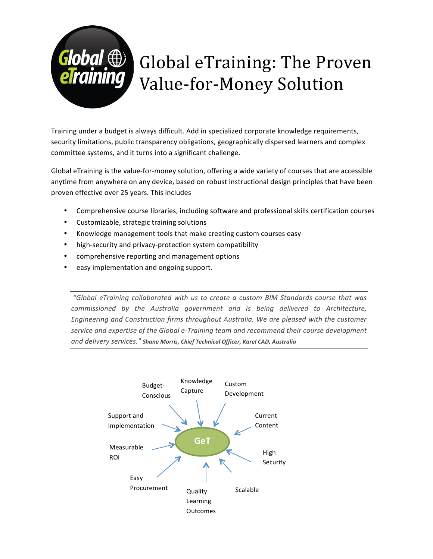

# Global eTraining: The Proven Value-for-Money Solution

Training under a budget is always difficult. Add in specialized corporate knowledge requirements, security limitations, public transparency obligations, geographically dispersed learners and complex committee systems, and it turns into a significant challenge.

Global eTraining is the value-for-money solution, offering a wide variety of courses that are accessible anytime from anywhere on any device, based on robust instructional design principles that have been proven effective over 25 years. This includes

- Comprehensive course libraries, including software and professional skills certification courses
- Customizable, strategic training solutions
- Knowledge management tools that make creating custom courses easy
- high-security and privacy-protection system compatibility
- comprehensive reporting and management options
- easy implementation and ongoing support.

*"Global eTraining collaborated with us to create a custom BIM Standards course that was commissioned* by the Australia government and is being delivered to Architecture, Engineering and Construction firms throughout Australia. We are pleased with the customer service and expertise of the Global e-Training team and recommend their course development *and delivery services." Shane Morris, Chief Technical Officer, Karel CAD, Australia*

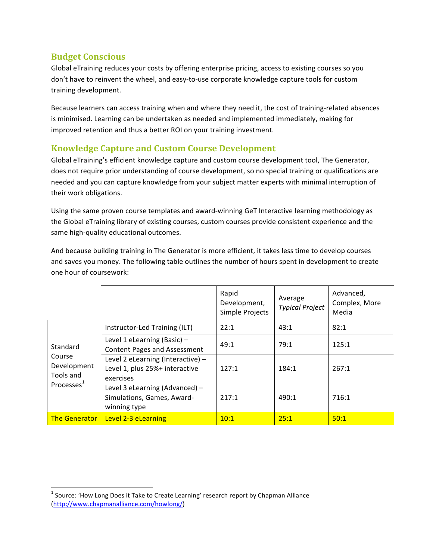## **Budget Conscious**

Global eTraining reduces your costs by offering enterprise pricing, access to existing courses so you don't have to reinvent the wheel, and easy-to-use corporate knowledge capture tools for custom training development.

Because learners can access training when and where they need it, the cost of training-related absences is minimised. Learning can be undertaken as needed and implemented immediately, making for improved retention and thus a better ROI on your training investment.

## **Knowledge Capture and Custom Course Development**

Global eTraining's efficient knowledge capture and custom course development tool, The Generator, does not require prior understanding of course development, so no special training or qualifications are needed and you can capture knowledge from your subject matter experts with minimal interruption of their work obligations.

Using the same proven course templates and award-winning GeT Interactive learning methodology as the Global eTraining library of existing courses, custom courses provide consistent experience and the same high-quality educational outcomes.

And because building training in The Generator is more efficient, it takes less time to develop courses and saves you money. The following table outlines the number of hours spent in development to create one hour of coursework:

|                                                                 |                                                                                  | Rapid<br>Development,<br>Simple Projects | Average<br><b>Typical Project</b> | Advanced,<br>Complex, More<br>Media |
|-----------------------------------------------------------------|----------------------------------------------------------------------------------|------------------------------------------|-----------------------------------|-------------------------------------|
| Standard<br>Course<br>Development<br>Tools and<br>Processes $1$ | Instructor-Led Training (ILT)                                                    | 22:1                                     | 43:1                              | 82:1                                |
|                                                                 | Level 1 eLearning (Basic) $-$<br><b>Content Pages and Assessment</b>             | 49:1                                     | 79:1                              | 125:1                               |
|                                                                 | Level 2 eLearning (Interactive) -<br>Level 1, plus 25%+ interactive<br>exercises | 127:1                                    | 184:1                             | 267:1                               |
|                                                                 | Level 3 eLearning (Advanced) -<br>Simulations, Games, Award-<br>winning type     | 217:1                                    | 490:1                             | 716:1                               |
| <b>The Generator</b>                                            | Level 2-3 eLearning                                                              | 10:1                                     | 25:1                              | 50:1                                |

 

 $1$  Source: 'How Long Does it Take to Create Learning' research report by Chapman Alliance (http://www.chapmanalliance.com/howlong/)